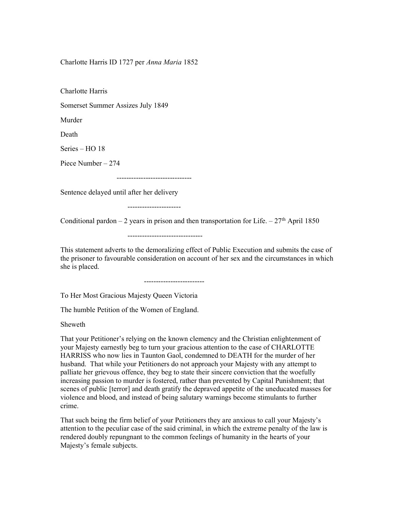Charlotte Harris ID 1727 per Anna Maria 1852

Charlotte Harris

Somerset Summer Assizes July 1849

Murder

Death

Series – HO 18

Piece Number – 274

-------------------------------

Sentence delayed until after her delivery

----------------------

Conditional pardon – 2 years in prison and then transportation for Life.  $-27<sup>th</sup>$  April 1850

-------------------------------

This statement adverts to the demoralizing effect of Public Execution and submits the case of the prisoner to favourable consideration on account of her sex and the circumstances in which she is placed.

To Her Most Gracious Majesty Queen Victoria

-------------------------

The humble Petition of the Women of England.

Sheweth

That your Petitioner's relying on the known clemency and the Christian enlightenment of your Majesty earnestly beg to turn your gracious attention to the case of CHARLOTTE HARRISS who now lies in Taunton Gaol, condemned to DEATH for the murder of her husband. That while your Petitioners do not approach your Majesty with any attempt to palliate her grievous offence, they beg to state their sincere conviction that the woefully increasing passion to murder is fostered, rather than prevented by Capital Punishment; that scenes of public [terror] and death gratify the depraved appetite of the uneducated masses for violence and blood, and instead of being salutary warnings become stimulants to further crime.

That such being the firm belief of your Petitioners they are anxious to call your Majesty's attention to the peculiar case of the said criminal, in which the extreme penalty of the law is rendered doubly repungnant to the common feelings of humanity in the hearts of your Majesty's female subjects.